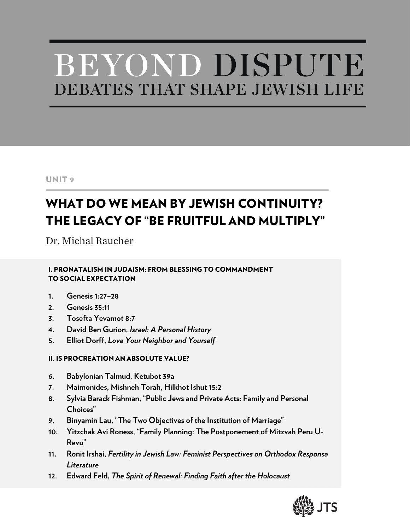# BEYOND DISPUTE DEBATES THAT SHAPE JEWISH LIFE

# UNIT 9

# WHAT DO WE MEAN BY JEWISH CONTINUITY? THE LEGACY OF "BE FRUITFUL AND MULTIPLY"

Dr. Michal Raucher

I. PRONATALISM IN JUDAISM: FROM BLESSING TO COMMANDMENT TO SOCIAL EXPECTATION

- **1. Genesis 1:27–28**
- **2. Genesis 35:11**
- **3. Tosefta Yevamot 8:7**
- **4. David Ben Gurion,** *Israel: A Personal History*
- **5. Elliot Dorff,** *Love Your Neighbor and Yourself*

# II. IS PROCREATION AN ABSOLUTE VALUE?

- **6. Babylonian Talmud, Ketubot 39a**
- **7. Maimonides, Mishneh Torah, Hilkhot Ishut 15:2**
- **8. Sylvia Barack Fishman, "Public Jews and Private Acts: Family and Personal Choices"**
- **9. Binyamin Lau, "The Two Objectives of the Institution of Marriage"**
- **10. Yitzchak Avi Roness, "Family Planning: The Postponement of Mitzvah Peru U-Revu"**
- **11. Ronit Irshai,** *Fertility in Jewish Law: Feminist Perspectives on Orthodox Responsa Literature*
- **12. Edward Feld,** *The Spirit of Renewal: Finding Faith after the Holocaust*

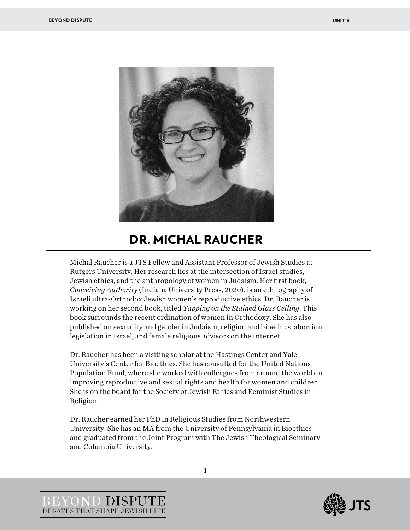

# DR. MICHAL RAUCHER

Michal Raucher is a JTS Fellow and Assistant Professor of Jewish Studies at Rutgers University. Her research lies at the intersection of Israel studies, Jewish ethics, and the anthropology of women in Judaism. Her first book, *Conceiving Authority* (Indiana University Press, 2020), is an ethnography of Israeli ultra-Orthodox Jewish women's reproductive ethics. Dr. Raucher is working on her second book, titled *Tapping on the Stained Glass Ceiling*. This book surrounds the recent ordination of women in Orthodoxy. She has also published on sexuality and gender in Judaism, religion and bioethics, abortion legislation in Israel, and female religious advisors on the Internet.

Dr. Raucher has been a visiting scholar at the Hastings Center and Yale University's Center for Bioethics. She has consulted for the United Nations Population Fund, where she worked with colleagues from around the world on improving reproductive and sexual rights and health for women and children. She is on the board for the Society of Jewish Ethics and Feminist Studies in Religion.

Dr. Raucher earned her PhD in Religious Studies from Northwestern University. She has an MA from the University of Pennsylvania in Bioethics and graduated from the Joint Program with The Jewish Theological Seminary and Columbia University.



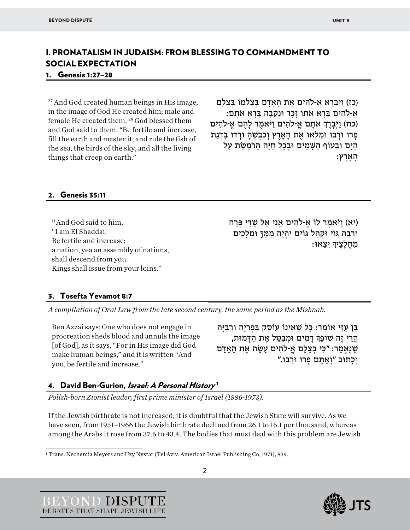# I. PRONATALISM IN JUDAISM: FROM BLESSING TO COMMANDMENT TO SOCIAL EXPECTATION

#### 1. Genesis 1:27–28

<sup>27</sup> And God created human beings in His image, in the image of God He created him; male and female He created them. <sup>28</sup> God blessed them and God said to them, "Be fertile and increase, fill the earth and master it; and rule the fish of the sea, the birds of the sky, and all the living things that creep on earth."

(כז) וַ יִּ בְ רָ א אֱ -�הִ ים אֶ ת הָ אָדָ ם בְּ צַ לְמוֹ בְּ צֶ לֶם ּאֲ-לֹהִים בַּרָא אֹתוֹ זָכָר וּנְקֶבָה בַּרָא אֹתַם: (כח) וַיְבַרֶךְ אֹתִם אֶ-לֹהִים וַיֹּאמֶר לַהֶם אֱ-לֹהִים פְּרוּ וּרְבוּ וּמִלְאוּ אֶת הַאֲרֶץ וְכִבְשָׁהַ וּרְדוּ בִּדְגַת הַיָּם וּבְעוֹף הַשֶּׁמַיִם וּבְכַל חַיָּה הַרֹמֶשֶׂת עַל :הארץ

#### 2. Genesis 35:11

<sup>11</sup> And God said to him. "I am El Shaddai. Be fertile and increase; a nation, yea an assembly of nations, shall descend from you. Kings shall issue from your loins."

(יא) וַיֹּאמֶ ר לוֹ אֱ -�הִ ים אֲנִי אֵ ל שַׁ דַּ י פְּ רֵ ה וּרְבֶה גּוֹי וּקְהַל גּוֹיִם יִהְיֶה מְמֶךָ וּמְלַכְיִם ּמֶחֵלַצֵידָּ יֵצֵאוּ:

#### 3. Tosefta Yevamot 8:7

*A compilation of Oral Law from the late second century, the same period as the Mishnah.*

Ben Azzai says: One who does not engage in procreation sheds blood and annuls the image [of God], as it says, "For in His image did God make human beings," and it is written "And you, be fertile and increase."

בֶּן עַזַּי אוֹמֵר: כַּל שֵׁאֵינוֹ עוֹסֵק בִּפְרִיַּה וּרְבִיַּה ּ הֵרֵי זֶה שׁוֹפֵךְ דַּמְיִם וּמְבַטֵּל אֶת הַדְּמוּת, שֶׁנֶאֱמַר: "כִּי בְּצֶלֶם אֱ-לֹהִים עַשָׂה אֶת הַאֲדַם וְכָתוּב "וְאַתֶּם פְּרוּ וּרְבוּ."

# 4. David Ben-Gurion, Israel: A Personal History<sup>[1](#page-2-0)</sup>

*Polish-born Zionist leader; first prime minister of Israel (1886-1973).*

If the Jewish birthrate is not increased, it is doubtful that the Jewish State will survive. As we have seen, from 1951–1966 the Jewish birthrate declined from 26.1 to 16.1 per thousand, whereas among the Arabs it rose from 37.6 to 43.4. The bodies that must deal with this problem are Jewish

<span id="page-2-0"></span>1 Trans. Nechemia Meyers and Uzy Nystar (Tel Aviv: American Israel Publishing Co, 1971), 839.

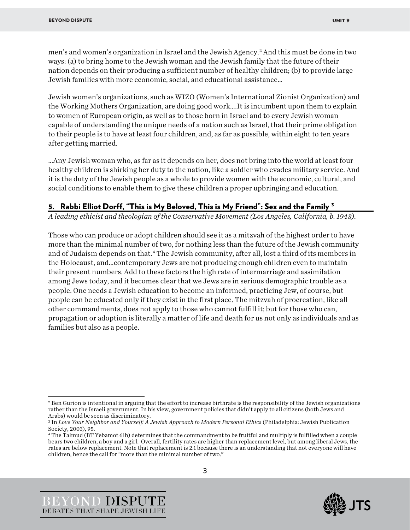men's and women's organization in Israel and the Jewish Agency[.2](#page-3-0) And this must be done in two ways: (a) to bring home to the Jewish woman and the Jewish family that the future of their nation depends on their producing a sufficient number of healthy children; (b) to provide large Jewish families with more economic, social, and educational assistance…

Jewish women's organizations, such as WIZO (Women's International Zionist Organization) and the Working Mothers Organization, are doing good work….It is incumbent upon them to explain to women of European origin, as well as to those born in Israel and to every Jewish woman capable of understanding the unique needs of a nation such as Israel, that their prime obligation to their people is to have at least four children, and, as far as possible, within eight to ten years after getting married.

…Any Jewish woman who, as far as it depends on her, does not bring into the world at least four healthy children is shirking her duty to the nation, like a soldier who evades military service. And it is the duty of the Jewish people as a whole to provide women with the economic, cultural, and social conditions to enable them to give these children a proper upbringing and education.

#### 5. Rabbi Elliot Dorff, "This is My Beloved, This is My Friend": Sex and the Family <sup>[3](#page-3-1)</sup>

*A leading ethicist and theologian of the Conservative Movement (Los Angeles, California, b. 1943).*

Those who can produce or adopt children should see it as a mitzvah of the highest order to have more than the minimal number of two, for nothing less than the future of the Jewish community and of Judaism depends on that.<sup>[4](#page-3-2)</sup> The Jewish community, after all, lost a third of its members in the Holocaust, and…contemporary Jews are not producing enough children even to maintain their present numbers. Add to these factors the high rate of intermarriage and assimilation among Jews today, and it becomes clear that we Jews are in serious demographic trouble as a people. One needs a Jewish education to become an informed, practicing Jew, of course, but people can be educated only if they exist in the first place. The mitzvah of procreation, like all other commandments, does not apply to those who cannot fulfill it; but for those who can, propagation or adoption is literally a matter of life and death for us not only as individuals and as families but also as a people.





<span id="page-3-0"></span><sup>&</sup>lt;sup>2</sup> Ben Gurion is intentional in arguing that the effort to increase birthrate is the responsibility of the Jewish organizations rather than the Israeli government. In his view, government policies that didn't apply to all citizens (both Jews and Arabs) would be seen as discriminatory.

<span id="page-3-1"></span><sup>3</sup> In *Love Your Neighbor and Yourself: A Jewish Approach to Modern Personal Ethics* (Philadelphia: Jewish Publication Society, 2003), 95.

<span id="page-3-2"></span><sup>4</sup> The Talmud (BT Yebamot 61b) determines that the commandment to be fruitful and multiply is fulfilled when a couple bears two children, a boy and a girl. Overall, fertility rates are higher than replacement level, but among liberal Jews, the rates are below replacement. Note that replacement is 2.1 because there is an understanding that not everyone will have children, hence the call for "more than the minimal number of two."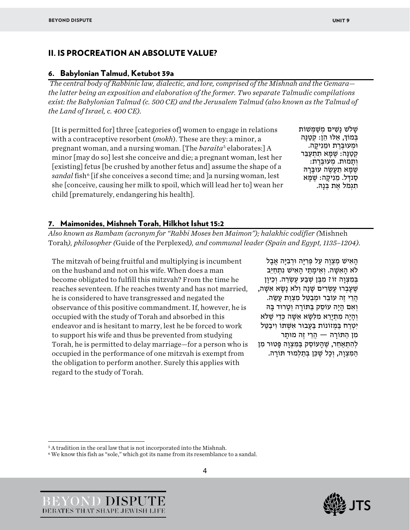# II. IS PROCREATION AN ABSOLUTE VALUE?

#### 6. Babylonian Talmud, Ketubot 39a

*The central body of Rabbinic law, dialectic, and lore, comprised of the Mishnah and the Gemara the latter being an exposition and elaboration of the former. Two separate Talmudic compilations exist: the Babylonian Talmud (c. 500 CE) and the Jerusalem Talmud (also known as the Talmud of the Land of Israel, c. 400 CE).*

[It is permitted for] three [categories of] women to engage in relations with a contraceptive resorbent (*mokh*). These are they: a minor, a pregnant woman, and a nursing woman. [The *baraita*[5](#page-4-0) elaborates:] A minor [may do so] lest she conceive and die; a pregnant woman, lest her [existing] fetus [be crushed by another fetus and] assume the shape of a *sandal* fish<sup>[6](#page-4-1)</sup> [if she conceives a second time; and ]a nursing woman, lest she [conceive, causing her milk to spoil, which will lead her to] wean her child [prematurely, endangering his health].

ַ שַׁלֹשׁ נַשִּׁים מִשָּׁמְּשׁוֹת ַבְּמוֹדְּ, אֵלוּ הֵן: קְטַנָּה<br>וּמְעוּבֵּרֵת וּמֵנִיקָה. קְטַנָּה: שֶׁמָּא תִתְעַבֵּר וְתָמוּת. מְעוּבֶּרֶת:<br>שֶׁמָּא תֵעָשֶׂה עוּבָּרָהּ<br>סַנדָּל. מֵנִיקָה: שֶׁמָּא<br>תִגִּמֹל אֵת בִּנָּהּ.

#### 7. Maimonides, Mishneh Torah, Hilkhot Ishut 15:2

*Also known as Rambam (acronym for "Rabbi Moses ben Maimon"); halakhic codifier (*Mishneh Torah*), philosopher (*Guide of the Perplexed*), and communal leader (Spain and Egypt, 1135–1204).* 

The mitzvah of being fruitful and multiplying is incumbent on the husband and not on his wife. When does a man become obligated to fulfill this mitzvah? From the time he reaches seventeen. If he reaches twenty and has not married, he is considered to have transgressed and negated the observance of this positive commandment. If, however, he is occupied with the study of Torah and absorbed in this endeavor and is hesitant to marry, lest he be forced to work to support his wife and thus be prevented from studying Torah, he is permitted to delay marriage—for a person who is occupied in the performance of one mitzvah is exempt from the obligation to perform another. Surely this applies with regard to the study of Torah.

הָאִישׁ מִצְוֵה עַל פְּרִיָּה וּרְבִיָּה אֲבָל לא הַאִשָּׁה. וְאֵימַתֵי הַאִישׁ נִתְחַיֶּב בְּמְצְוָה זוֹ? מִבֵּן שָׁבַע עֵשָׂרֵה. וְכֵיוָן שֵׁ עָבְרוּ עֵשְׂרִים שַׁנָה וְלֹא נַשָּׂא אִשָּׁה, ּהֵרֵי זֶה עוֹבֵר וּמְבַטֵּל מִצְוַת עֲשֶׂה. וְאִם הָיָה עוֹסֵק בַּתּוֹרָה וְטַרוּד בַּהּ וְהָיָה מִתְיָרֵא מִלְשָׂא אִשָּׁה כְּדֵי שֶׁלֹּא יִטְרַח בַּמְזוֹנוֹת בַּעֲבוּר אִשָּׁתּוֹ וִיבַטֶּל מִ ן הַ תּוֹרָ ה — הֲרֵ י זֶה מוּתָ ר לְהִתְאַחֵר, שֶׁהַעוֹסֵק בַּמִּצְוַה פַּטוּר מִן הַמִּצְוָה, וְכָל שֵׁכֵּן בְּתַלְמוּד תּוֹרָה.





<span id="page-4-1"></span><span id="page-4-0"></span><sup>5</sup> A tradition in the oral law that is not incorporated into the Mishnah.

<sup>&</sup>lt;sup>6</sup> We know this fish as "sole," which got its name from its resemblance to a sandal.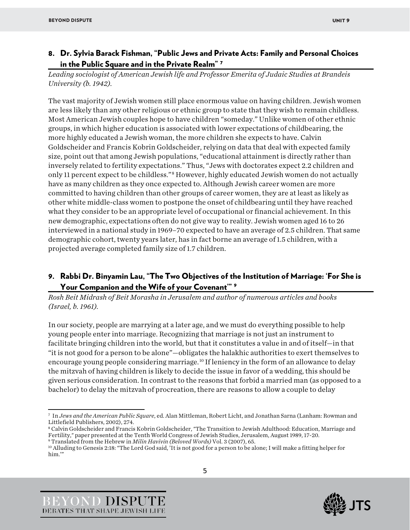# 8. Dr. Sylvia Barack Fishman, "Public Jews and Private Acts: Family and Personal Choices in the Public Square and in the Private Realm" [7](#page-5-0)

*Leading sociologist of American Jewish life and Professor Emerita of Judaic Studies at Brandeis University (b. 1942).*

The vast majority of Jewish women still place enormous value on having children. Jewish women are less likely than any other religious or ethnic group to state that they wish to remain childless. Most American Jewish couples hope to have children "someday." Unlike women of other ethnic groups, in which higher education is associated with lower expectations of childbearing, the more highly educated a Jewish woman, the more children she expects to have. Calvin Goldscheider and Francis Kobrin Goldscheider, relying on data that deal with expected family size, point out that among Jewish populations, "educational attainment is directly rather than inversely related to fertility expectations." Thus, "Jews with doctorates expect 2.2 children and only 11 percent expect to be childless."[8](#page-5-1) However, highly educated Jewish women do not actually have as many children as they once expected to. Although Jewish career women are more committed to having children than other groups of career women, they are at least as likely as other white middle-class women to postpone the onset of childbearing until they have reached what they consider to be an appropriate level of occupational or financial achievement. In this new demographic, expectations often do not give way to reality. Jewish women aged 16 to 26 interviewed in a national study in 1969–70 expected to have an average of 2.5 children. That same demographic cohort, twenty years later, has in fact borne an average of 1.5 children, with a projected average completed family size of 1.7 children.

# 9. Rabbi Dr. Binyamin Lau, "The Two Objectives of the Institution of Marriage: 'For She is Your Companion and the Wife of your Covenant'" [9](#page-5-2)

*Rosh Beit Midrash of Beit Morasha in Jerusalem and author of numerous articles and books (Israel, b. 1961).* 

In our society, people are marrying at a later age, and we must do everything possible to help young people enter into marriage. Recognizing that marriage is not just an instrument to facilitate bringing children into the world, but that it constitutes a value in and of itself—in that "it is not good for a person to be alone"—obligates the halakhic authorities to exert themselves to encourage young people considering marriage. [10](#page-5-3) If leniency in the form of an allowance to delay the mitzvah of having children is likely to decide the issue in favor of a wedding, this should be given serious consideration. In contrast to the reasons that forbid a married man (as opposed to a bachelor) to delay the mitzvah of procreation, there are reasons to allow a couple to delay





<span id="page-5-0"></span><sup>7</sup> In *Jews and the American Public Square*, ed. Alan Mittleman, Robert Licht, and Jonathan Sarna (Lanham: Rowman and Littlefield Publishers, 2002), 274.

<span id="page-5-1"></span><sup>8</sup> Calvin Goldscheider and Francis Kobrin Goldscheider, "The Transition to Jewish Adulthood: Education, Marriage and Fertility," paper presented at the Tenth World Congress of Jewish Studies, Jerusalem, August 1989, 17-20.

<span id="page-5-2"></span><sup>9</sup> Translated from the Hebrew in *Milin Havivin (Beloved Words)* Vol. 3 (2007), 65.

<span id="page-5-3"></span><sup>10</sup> Alluding to Genesis 2:18: "The Lord God said, 'It is not good for a person to be alone; I will make a fitting helper for him.'"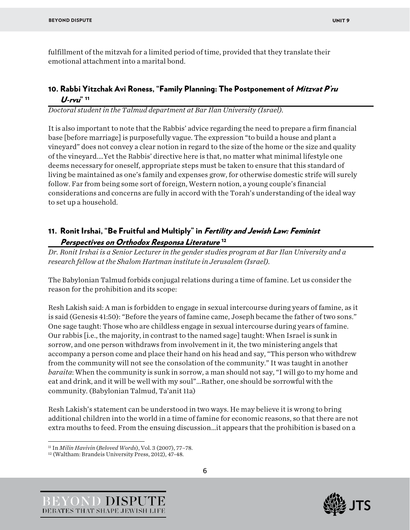fulfillment of the mitzvah for a limited period of time, provided that they translate their emotional attachment into a marital bond.

# 10. Rabbi Yitzchak Avi Roness, "Family Planning: The Postponement of *Mitzvat P'ru* U-rvu" [11](#page-6-0)

*Doctoral student in the Talmud department at Bar Ilan University (Israel).*

It is also important to note that the Rabbis' advice regarding the need to prepare a firm financial base [before marriage] is purposefully vague. The expression "to build a house and plant a vineyard" does not convey a clear notion in regard to the size of the home or the size and quality of the vineyard.…Yet the Rabbis' directive here is that, no matter what minimal lifestyle one deems necessary for oneself, appropriate steps must be taken to ensure that this standard of living be maintained as one's family and expenses grow, for otherwise domestic strife will surely follow. Far from being some sort of foreign, Western notion, a young couple's financial considerations and concerns are fully in accord with the Torah's understanding of the ideal way to set up a household.

# 11. Ronit Irshai, "Be Fruitful and Multiply" in *Fertility and Jewish Law: Feminist* Perspectives on Orthodox Responsa Literature [12](#page-6-1)

*Dr. Ronit Irshai is a Senior Lecturer in the gender studies program at Bar Ilan University and a research fellow at the Shalom Hartman institute in Jerusalem (Israel).*

The Babylonian Talmud forbids conjugal relations during a time of famine. Let us consider the reason for the prohibition and its scope:

Resh Lakish said: A man is forbidden to engage in sexual intercourse during years of famine, as it is said (Genesis 41:50): "Before the years of famine came, Joseph became the father of two sons." One sage taught: Those who are childless engage in sexual intercourse during years of famine. Our rabbis [i.e., the majority, in contrast to the named sage] taught: When Israel is sunk in sorrow, and one person withdraws from involvement in it, the two ministering angels that accompany a person come and place their hand on his head and say, "This person who withdrew from the community will not see the consolation of the community." It was taught in another *baraita*: When the community is sunk in sorrow, a man should not say, "I will go to my home and eat and drink, and it will be well with my soul"…Rather, one should be sorrowful with the community. (Babylonian Talmud, Ta'anit 11a)

Resh Lakish's statement can be understood in two ways. He may believe it is wrong to bring additional children into the world in a time of famine for economic reasons, so that there are not extra mouths to feed. From the ensuing discussion…it appears that the prohibition is based on a



<span id="page-6-0"></span><sup>11</sup> In *Milin Havivin* (*Beloved Words*), Vol. 3 (2007), 77–78.

<span id="page-6-1"></span><sup>12</sup> (Waltham: Brandeis University Press, 2012), 47-48.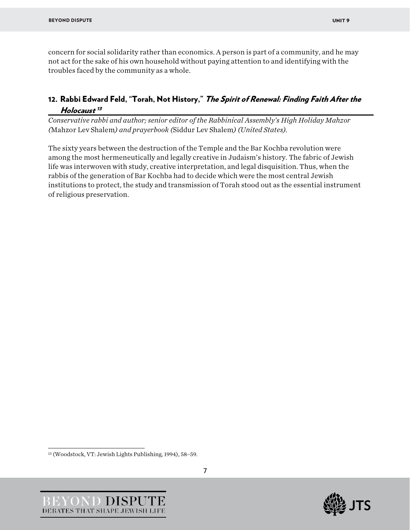concern for social solidarity rather than economics. A person is part of a community, and he may not act for the sake of his own household without paying attention to and identifying with the troubles faced by the community as a whole.

# 12. Rabbi Edward Feld, "Torah, Not History," The Spirit of Renewal: Finding Faith After the Holocaust<sup>[13](#page-7-0)</sup>

*Conservative rabbi and author; senior editor of the Rabbinical Assembly's High Holiday Mahzor (*Mahzor Lev Shalem*) and prayerbook (*Siddur Lev Shalem*) (United States).*

The sixty years between the destruction of the Temple and the Bar Kochba revolution were among the most hermeneutically and legally creative in Judaism's history. The fabric of Jewish life was interwoven with study, creative interpretation, and legal disquisition. Thus, when the rabbis of the generation of Bar Kochba had to decide which were the most central Jewish institutions to protect, the study and transmission of Torah stood out as the essential instrument of religious preservation.



<span id="page-7-0"></span><sup>13 (</sup>Woodstock, VT: Jewish Lights Publishing, 1994), 58–59.